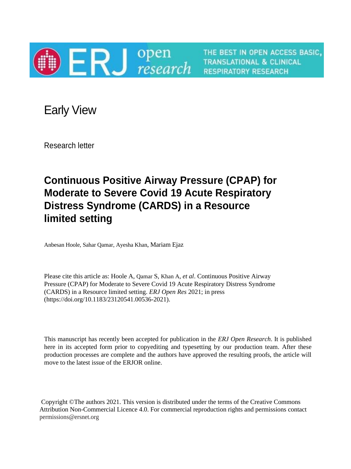

THE BEST IN OPEN ACCESS BASIC, **TRANSLATIONAL & CLINICAL RESPIRATORY RESEARCH** 

Early View

Research letter

# **Continuous Positive Airway Pressure (CPAP) for Moderate to Severe Covid 19 Acute Respiratory Distress Syndrome (CARDS) in a Resource limited setting**

Anbesan Hoole, Sahar Qamar, Ayesha Khan, Mariam Ejaz

Please cite this article as: Hoole A, Qamar S, Khan A, *et al*. Continuous Positive Airway Pressure (CPAP) for Moderate to Severe Covid 19 Acute Respiratory Distress Syndrome (CARDS) in a Resource limited setting. *ERJ Open Res* 2021; in press (https://doi.org/10.1183/23120541.00536-2021).

This manuscript has recently been accepted for publication in the *ERJ Open Research*. It is published here in its accepted form prior to copyediting and typesetting by our production team. After these production processes are complete and the authors have approved the resulting proofs, the article will move to the latest issue of the ERJOR online.

Copyright ©The authors 2021. This version is distributed under the terms of the Creative Commons Attribution Non-Commercial Licence 4.0. For commercial reproduction rights and permissions contact permissions@ersnet.org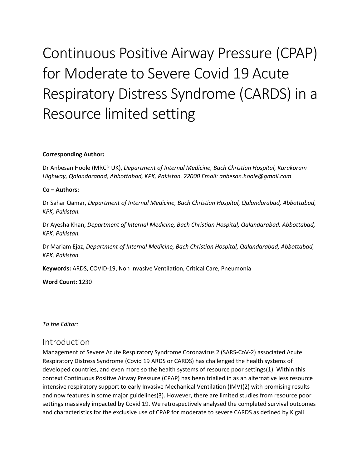# Continuous Positive Airway Pressure (CPAP) for Moderate to Severe Covid 19 Acute Respiratory Distress Syndrome (CARDS) in a Resource limited setting

#### **Corresponding Author:**

Dr Anbesan Hoole (MRCP UK), *Department of Internal Medicine, Bach Christian Hospital, Karakoram Highway, Qalandarabad, Abbottabad, KPK, Pakistan. 22000 Email: anbesan.hoole@gmail.com*

#### **Co – Authors:**

Dr Sahar Qamar, *Department of Internal Medicine, Bach Christian Hospital, Qalandarabad, Abbottabad, KPK, Pakistan.*

Dr Ayesha Khan, *Department of Internal Medicine, Bach Christian Hospital, Qalandarabad, Abbottabad, KPK, Pakistan.*

Dr Mariam Ejaz, *Department of Internal Medicine, Bach Christian Hospital, Qalandarabad, Abbottabad, KPK, Pakistan.*

**Keywords:** ARDS, COVID-19, Non Invasive Ventilation, Critical Care, Pneumonia

**Word Count:** 1230

*To the Editor:*

#### Introduction

Management of Severe Acute Respiratory Syndrome Coronavirus 2 (SARS-CoV-2) associated Acute Respiratory Distress Syndrome (Covid 19 ARDS or CARDS) has challenged the health systems of developed countries, and even more so the health systems of resource poor settings(1). Within this context Continuous Positive Airway Pressure (CPAP) has been trialled in as an alternative less resource intensive respiratory support to early Invasive Mechanical Ventilation (IMV)(2) with promising results and now features in some major guidelines(3). However, there are limited studies from resource poor settings massively impacted by Covid 19. We retrospectively analysed the completed survival outcomes and characteristics for the exclusive use of CPAP for moderate to severe CARDS as defined by Kigali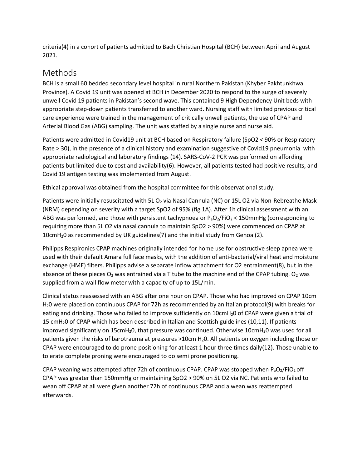criteria(4) in a cohort of patients admitted to Bach Christian Hospital (BCH) between April and August 2021.

#### Methods

BCH is a small 60 bedded secondary level hospital in rural Northern Pakistan (Khyber Pakhtunkhwa Province). A Covid 19 unit was opened at BCH in December 2020 to respond to the surge of severely unwell Covid 19 patients in Pakistan's second wave. This contained 9 High Dependency Unit beds with appropriate step-down patients transferred to another ward. Nursing staff with limited previous critical care experience were trained in the management of critically unwell patients, the use of CPAP and Arterial Blood Gas (ABG) sampling. The unit was staffed by a single nurse and nurse aid.

Patients were admitted in Covid19 unit at BCH based on Respiratory failure (SpO2 < 90% or Respiratory Rate > 30), in the presence of a clinical history and examination suggestive of Covid19 pneumonia with appropriate radiological and laboratory findings (14). SARS-CoV-2 PCR was performed on affording patients but limited due to cost and availability(6). However, all patients tested had positive results, and Covid 19 antigen testing was implemented from August.

Ethical approval was obtained from the hospital committee for this observational study.

Patients were initially resuscitated with 5L  $O_2$  via Nasal Cannula (NC) or 15L O2 via Non-Rebreathe Mask (NRM) depending on severity with a target SpO2 of 95% (fig 1A). After 1h clinical assessment with an ABG was performed, and those with persistent tachypnoea or  $P_aO_2/FiO_2 < 150$ mmHg (corresponding to requiring more than 5L O2 via nasal cannula to maintain SpO2 > 90%) were commenced on CPAP at 10cmH20 as recommended by UK guidelines(7) and the initial study from Genoa (2).

Philipps Respironics CPAP machines originally intended for home use for obstructive sleep apnea were used with their default Amara full face masks, with the addition of anti-bacterial/viral heat and moisture exchange (HME) filters. Philipps advise a separate inflow attachment for O2 entrainment(8), but in the absence of these pieces  $O_2$  was entrained via a T tube to the machine end of the CPAP tubing.  $O_2$  was supplied from a wall flow meter with a capacity of up to 15L/min.

Clinical status reassessed with an ABG after one hour on CPAP. Those who had improved on CPAP 10cm H20 were placed on continuous CPAP for 72h as recommended by an Italian protocol(9) with breaks for eating and drinking. Those who failed to improve sufficiently on 10cmH<sub>2</sub>0 of CPAP were given a trial of 15 cmH20 of CPAP which has been described in Italian and Scottish guidelines (10,11). If patients improved significantly on 15cmH<sub>2</sub>0, that pressure was continued. Otherwise 10cmH<sub>2</sub>0 was used for all patients given the risks of barotrauma at pressures >10cm H20. All patients on oxygen including those on CPAP were encouraged to do prone positioning for at least 1 hour three times daily(12). Those unable to tolerate complete proning were encouraged to do semi prone positioning.

CPAP weaning was attempted after 72h of continuous CPAP. CPAP was stopped when  $P_aO_2/FiO_2$  off CPAP was greater than 150mmHg or maintaining SpO2 > 90% on 5L O2 via NC. Patients who failed to wean off CPAP at all were given another 72h of continuous CPAP and a wean was reattempted afterwards.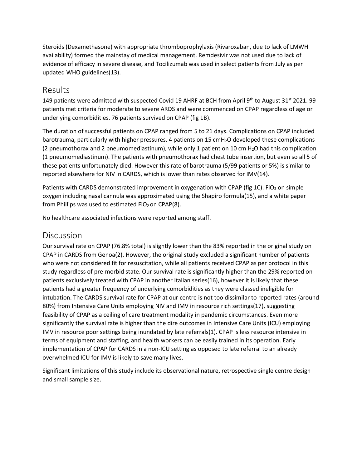Steroids (Dexamethasone) with appropriate thromboprophylaxis (Rivaroxaban, due to lack of LMWH availability) formed the mainstay of medical management. Remdesivir was not used due to lack of evidence of efficacy in severe disease, and Tocilizumab was used in select patients from July as per updated WHO guidelines(13).

#### Results

149 patients were admitted with suspected Covid 19 AHRF at BCH from April 9<sup>th</sup> to August 31<sup>st</sup> 2021. 99 patients met criteria for moderate to severe ARDS and were commenced on CPAP regardless of age or underlying comorbidities. 76 patients survived on CPAP (fig 1B).

The duration of successful patients on CPAP ranged from 5 to 21 days. Complications on CPAP included barotrauma, particularly with higher pressures. 4 patients on 15 cmH<sub>2</sub>O developed these complications (2 pneumothorax and 2 pneumomediastinum), while only 1 patient on 10 cm  $H_2O$  had this complication (1 pneumomediastinum). The patients with pneumothorax had chest tube insertion, but even so all 5 of these patients unfortunately died. However this rate of barotrauma (5/99 patients or 5%) is similar to reported elsewhere for NIV in CARDS, which is lower than rates observed for IMV(14).

Patients with CARDS demonstrated improvement in oxygenation with CPAP (fig 1C). FiO<sub>2</sub> on simple oxygen including nasal cannula was approximated using the Shapiro formula(15), and a white paper from Phillips was used to estimated  $FiO<sub>2</sub>$  on CPAP(8).

No healthcare associated infections were reported among staff.

#### Discussion

Our survival rate on CPAP (76.8% total) is slightly lower than the 83% reported in the original study on CPAP in CARDS from Genoa(2). However, the original study excluded a significant number of patients who were not considered fit for resuscitation, while all patients received CPAP as per protocol in this study regardless of pre-morbid state. Our survival rate is significantly higher than the 29% reported on patients exclusively treated with CPAP in another Italian series(16), however it is likely that these patients had a greater frequency of underlying comorbidities as they were classed ineligible for intubation. The CARDS survival rate for CPAP at our centre is not too dissimilar to reported rates (around 80%) from Intensive Care Units employing NIV and IMV in resource rich settings(17), suggesting feasibility of CPAP as a ceiling of care treatment modality in pandemic circumstances. Even more significantly the survival rate is higher than the dire outcomes in Intensive Care Units (ICU) employing IMV in resource poor settings being inundated by late referrals(1). CPAP is less resource intensive in terms of equipment and staffing, and health workers can be easily trained in its operation. Early implementation of CPAP for CARDS in a non-ICU setting as opposed to late referral to an already overwhelmed ICU for IMV is likely to save many lives.

Significant limitations of this study include its observational nature, retrospective single centre design and small sample size.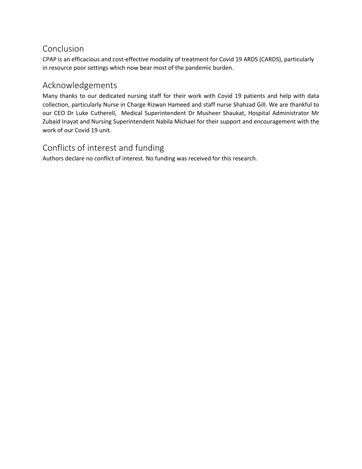## Conclusion

CPAP is an efficacious and cost-effective modality of treatment for Covid 19 ARDS (CARDS), particularly in resource poor settings which now bear most of the pandemic burden.

#### Acknowledgements

Many thanks to our dedicated nursing staff for their work with Covid 19 patients and help with data collection, particularly Nurse in Charge Rizwan Hameed and staff nurse Shahzad Gill. We are thankful to our CEO Dr Luke Cutherell, Medical Superintendent Dr Musheer Shaukat, Hospital Administrator Mr Zubaid Inayat and Nursing Superintendent Nabila Michael for their support and encouragement with the work of our Covid 19 unit.

## Conflicts of interest and funding

Authors declare no conflict of interest. No funding was received for this research.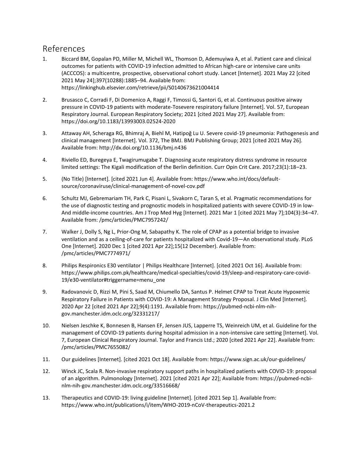#### References

- 1. Biccard BM, Gopalan PD, Miller M, Michell WL, Thomson D, Ademuyiwa A, et al. Patient care and clinical outcomes for patients with COVID-19 infection admitted to African high-care or intensive care units (ACCCOS): a multicentre, prospective, observational cohort study. Lancet [Internet]. 2021 May 22 [cited 2021 May 24];397(10288):1885–94. Available from: https://linkinghub.elsevier.com/retrieve/pii/S0140673621004414
- 2. Brusasco C, Corradi F, Di Domenico A, Raggi F, Timossi G, Santori G, et al. Continuous positive airway pressure in COVID-19 patients with moderate-Tosevere respiratory failure [Internet]. Vol. 57, European Respiratory Journal. European Respiratory Society; 2021 [cited 2021 May 27]. Available from: https://doi.org/10.1183/13993003.02524-2020
- 3. Attaway AH, Scheraga RG, Bhimraj A, Biehl M, Hatipoğ Lu U. Severe covid-19 pneumonia: Pathogenesis and clinical management [Internet]. Vol. 372, The BMJ. BMJ Publishing Group; 2021 [cited 2021 May 26]. Available from: http://dx.doi.org/10.1136/bmj.n436
- 4. Riviello ED, Buregeya E, Twagirumugabe T. Diagnosing acute respiratory distress syndrome in resource limited settings: The Kigali modification of the Berlin definition. Curr Opin Crit Care. 2017;23(1):18–23.
- 5. (No Title) [Internet]. [cited 2021 Jun 4]. Available from: https://www.who.int/docs/defaultsource/coronaviruse/clinical-management-of-novel-cov.pdf
- 6. Schultz MJ, Gebremariam TH, Park C, Pisani L, Sivakorn C, Taran S, et al. Pragmatic recommendations for the use of diagnostic testing and prognostic models in hospitalized patients with severe COVID-19 in low-And middle-income countries. Am J Trop Med Hyg [Internet]. 2021 Mar 1 [cited 2021 May 7];104(3):34–47. Available from: /pmc/articles/PMC7957242/
- 7. Walker J, Dolly S, Ng L, Prior-Ong M, Sabapathy K. The role of CPAP as a potential bridge to invasive ventilation and as a ceiling-of-care for patients hospitalized with Covid-19—An observational study. PLoS One [Internet]. 2020 Dec 1 [cited 2021 Apr 22];15(12 December). Available from: /pmc/articles/PMC7774971/
- 8. Philips Respironics E30 ventilator | Philips Healthcare [Internet]. [cited 2021 Oct 16]. Available from: https://www.philips.com.pk/healthcare/medical-specialties/covid-19/sleep-and-respiratory-care-covid-19/e30-ventilator#triggername=menu\_one
- 9. Radovanovic D, Rizzi M, Pini S, Saad M, Chiumello DA, Santus P. Helmet CPAP to Treat Acute Hypoxemic Respiratory Failure in Patients with COVID-19: A Management Strategy Proposal. J Clin Med [Internet]. 2020 Apr 22 [cited 2021 Apr 22];9(4):1191. Available from: https://pubmed-ncbi-nlm-nihgov.manchester.idm.oclc.org/32331217/
- 10. Nielsen Jeschke K, Bonnesen B, Hansen EF, Jensen JUS, Lapperre TS, Weinreich UM, et al. Guideline for the management of COVID-19 patients during hospital admission in a non-intensive care setting [Internet]. Vol. 7, European Clinical Respiratory Journal. Taylor and Francis Ltd.; 2020 [cited 2021 Apr 22]. Available from: /pmc/articles/PMC7655082/
- 11. Our guidelines [Internet]. [cited 2021 Oct 18]. Available from: https://www.sign.ac.uk/our-guidelines/
- 12. Winck JC, Scala R. Non-invasive respiratory support paths in hospitalized patients with COVID-19: proposal of an algorithm. Pulmonology [Internet]. 2021 [cited 2021 Apr 22]; Available from: https://pubmed-ncbinlm-nih-gov.manchester.idm.oclc.org/33516668/
- 13. Therapeutics and COVID-19: living guideline [Internet]. [cited 2021 Sep 1]. Available from: https://www.who.int/publications/i/item/WHO-2019-nCoV-therapeutics-2021.2